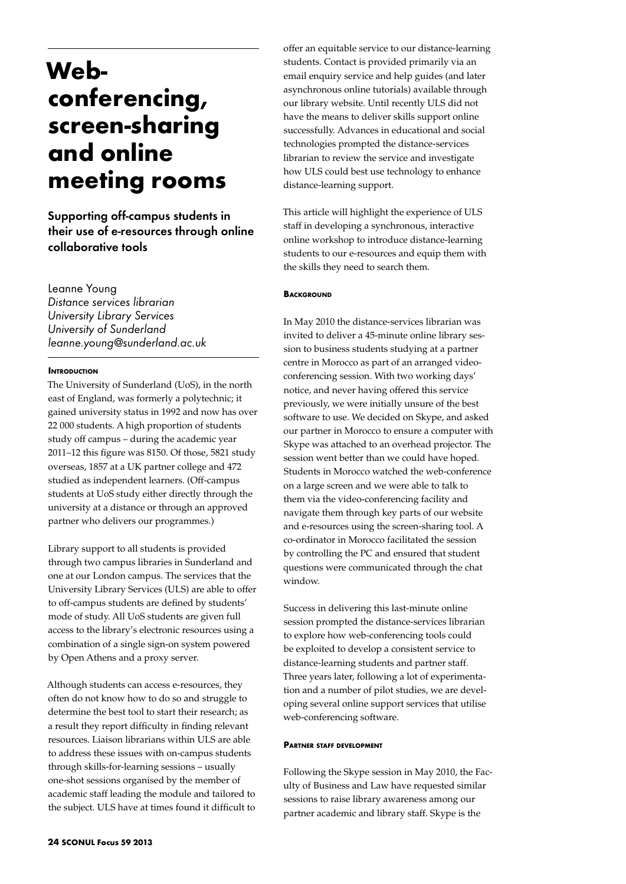# **Webconferencing, screen-sharing and online meeting rooms**

Supporting off-campus students in their use of e-resources through online collaborative tools

Leanne Young *Distance services librarian University Library Services University of Sunderland leanne.young@sunderland.ac.uk*

### **INTRODUCTION**

The University of Sunderland (UoS), in the north east of England, was formerly a polytechnic; it gained university status in 1992 and now has over 22 000 students. A high proportion of students study off campus – during the academic year 2011–12 this figure was 8150. Of those, 5821 study overseas, 1857 at a UK partner college and 472 studied as independent learners. (Off-campus students at UoS study either directly through the university at a distance or through an approved partner who delivers our programmes.)

Library support to all students is provided through two campus libraries in Sunderland and one at our London campus. The services that the University Library Services (ULS) are able to offer to off-campus students are defined by students' mode of study. All UoS students are given full access to the library's electronic resources using a combination of a single sign-on system powered by Open Athens and a proxy server.

Although students can access e-resources, they often do not know how to do so and struggle to determine the best tool to start their research; as a result they report difficulty in finding relevant resources. Liaison librarians within ULS are able to address these issues with on-campus students through skills-for-learning sessions – usually one-shot sessions organised by the member of academic staff leading the module and tailored to the subject. ULS have at times found it difficult to

offer an equitable service to our distance-learning students. Contact is provided primarily via an email enquiry service and help guides (and later asynchronous online tutorials) available through our library website. Until recently ULS did not have the means to deliver skills support online successfully. Advances in educational and social technologies prompted the distance-services librarian to review the service and investigate how ULS could best use technology to enhance distance-learning support.

This article will highlight the experience of ULS staff in developing a synchronous, interactive online workshop to introduce distance-learning students to our e-resources and equip them with the skills they need to search them.

### **BACKGROUND**

In May 2010 the distance-services librarian was invited to deliver a 45-minute online library session to business students studying at a partner centre in Morocco as part of an arranged videoconferencing session. With two working days' notice, and never having offered this service previously, we were initially unsure of the best software to use. We decided on Skype, and asked our partner in Morocco to ensure a computer with Skype was attached to an overhead projector. The session went better than we could have hoped. Students in Morocco watched the web-conference on a large screen and we were able to talk to them via the video-conferencing facility and navigate them through key parts of our website and e-resources using the screen-sharing tool. A co-ordinator in Morocco facilitated the session by controlling the PC and ensured that student questions were communicated through the chat window.

Success in delivering this last-minute online session prompted the distance-services librarian to explore how web-conferencing tools could be exploited to develop a consistent service to distance-learning students and partner staff. Three years later, following a lot of experimentation and a number of pilot studies, we are developing several online support services that utilise web-conferencing software.

#### **Partner staff development**

Following the Skype session in May 2010, the Faculty of Business and Law have requested similar sessions to raise library awareness among our partner academic and library staff. Skype is the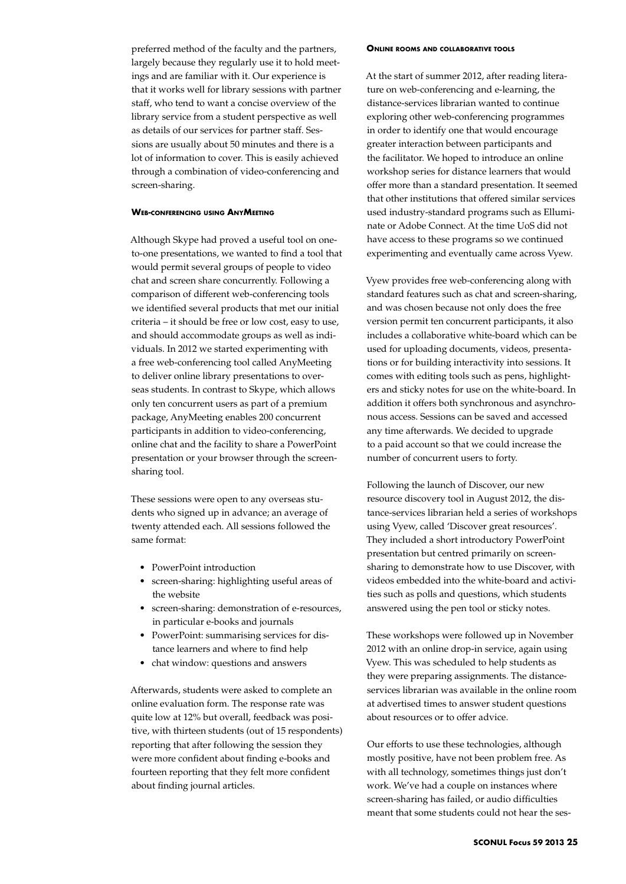preferred method of the faculty and the partners, largely because they regularly use it to hold meetings and are familiar with it. Our experience is that it works well for library sessions with partner staff, who tend to want a concise overview of the library service from a student perspective as well as details of our services for partner staff. Sessions are usually about 50 minutes and there is a lot of information to cover. This is easily achieved through a combination of video-conferencing and screen-sharing.

# **Web-conferencing using AnyMeeting**

Although Skype had proved a useful tool on oneto-one presentations, we wanted to find a tool that would permit several groups of people to video chat and screen share concurrently. Following a comparison of different web-conferencing tools we identified several products that met our initial criteria – it should be free or low cost, easy to use, and should accommodate groups as well as individuals. In 2012 we started experimenting with a free web-conferencing tool called AnyMeeting to deliver online library presentations to overseas students. In contrast to Skype, which allows only ten concurrent users as part of a premium package, AnyMeeting enables 200 concurrent participants in addition to video-conferencing, online chat and the facility to share a PowerPoint presentation or your browser through the screensharing tool.

These sessions were open to any overseas students who signed up in advance; an average of twenty attended each. All sessions followed the same format:

- • PowerPoint introduction
- screen-sharing: highlighting useful areas of the website
- • screen-sharing: demonstration of e-resources, in particular e-books and journals
- • PowerPoint: summarising services for distance learners and where to find help
- chat window: questions and answers

Afterwards, students were asked to complete an online evaluation form. The response rate was quite low at 12% but overall, feedback was positive, with thirteen students (out of 15 respondents) reporting that after following the session they were more confident about finding e-books and fourteen reporting that they felt more confident about finding journal articles.

#### **Online rooms and collaborative tools**

At the start of summer 2012, after reading literature on web-conferencing and e-learning, the distance-services librarian wanted to continue exploring other web-conferencing programmes in order to identify one that would encourage greater interaction between participants and the facilitator. We hoped to introduce an online workshop series for distance learners that would offer more than a standard presentation. It seemed that other institutions that offered similar services used industry-standard programs such as Elluminate or Adobe Connect. At the time UoS did not have access to these programs so we continued experimenting and eventually came across Vyew.

Vyew provides free web-conferencing along with standard features such as chat and screen-sharing, and was chosen because not only does the free version permit ten concurrent participants, it also includes a collaborative white-board which can be used for uploading documents, videos, presentations or for building interactivity into sessions. It comes with editing tools such as pens, highlighters and sticky notes for use on the white-board. In addition it offers both synchronous and asynchronous access. Sessions can be saved and accessed any time afterwards. We decided to upgrade to a paid account so that we could increase the number of concurrent users to forty.

Following the launch of Discover, our new resource discovery tool in August 2012, the distance-services librarian held a series of workshops using Vyew, called 'Discover great resources'. They included a short introductory PowerPoint presentation but centred primarily on screensharing to demonstrate how to use Discover, with videos embedded into the white-board and activities such as polls and questions, which students answered using the pen tool or sticky notes.

These workshops were followed up in November 2012 with an online drop-in service, again using Vyew. This was scheduled to help students as they were preparing assignments. The distanceservices librarian was available in the online room at advertised times to answer student questions about resources or to offer advice.

Our efforts to use these technologies, although mostly positive, have not been problem free. As with all technology, sometimes things just don't work. We've had a couple on instances where screen-sharing has failed, or audio difficulties meant that some students could not hear the ses-